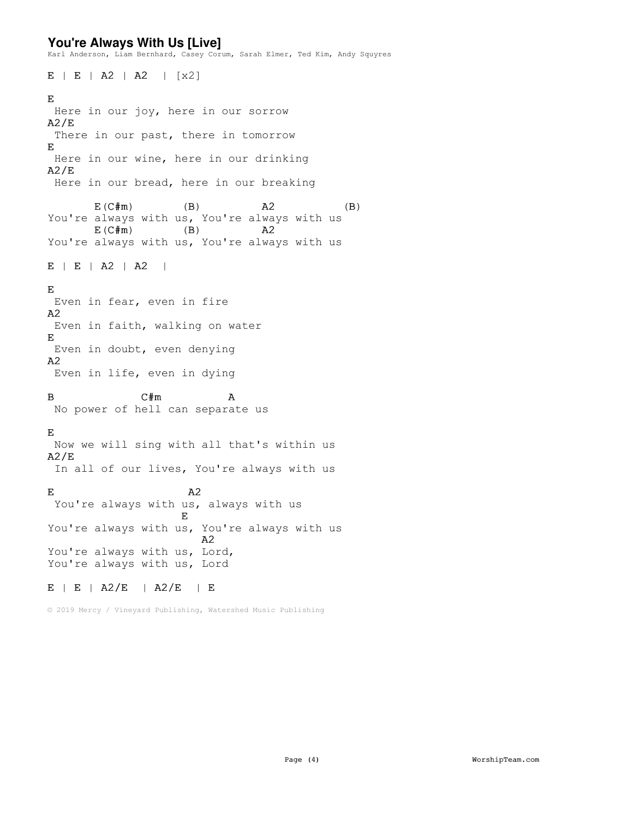## **You're Always With Us [Live]**

Karl Anderson, Liam Bernhard, Casey Corum, Sarah Elmer, Ted Kim, Andy Squyres

 $E$  | E | A2 | A2 | [x2] E Here in our joy, here in our sorrow A2/E There in our past, there in tomorrow E Here in our wine, here in our drinking  $A2/E$ Here in our bread, here in our breaking  $E(C \# m)$  (B)  $A2$  (B) You're always with us, You're always with us<br> $E(C\#m)$  (B)  $A2$  $E(C \# m)$  (B)  $A2$ You're always with us, You're always with us  $E$  | E | A2 | A2 | E Even in fear, even in fire A2 Even in faith, walking on water E Even in doubt, even denying A2 Even in life, even in dying B C#m A No power of hell can separate us E Now we will sing with all that's within us  $A2/E$ In all of our lives, You're always with us  $E$  and  $A2$ You're always with us, always with us E You're always with us, You're always with us A2 You're always with us, Lord, You're always with us, Lord E | E | A2/E | A2/E | E

© 2019 Mercy / Vineyard Publishing, Watershed Music Publishing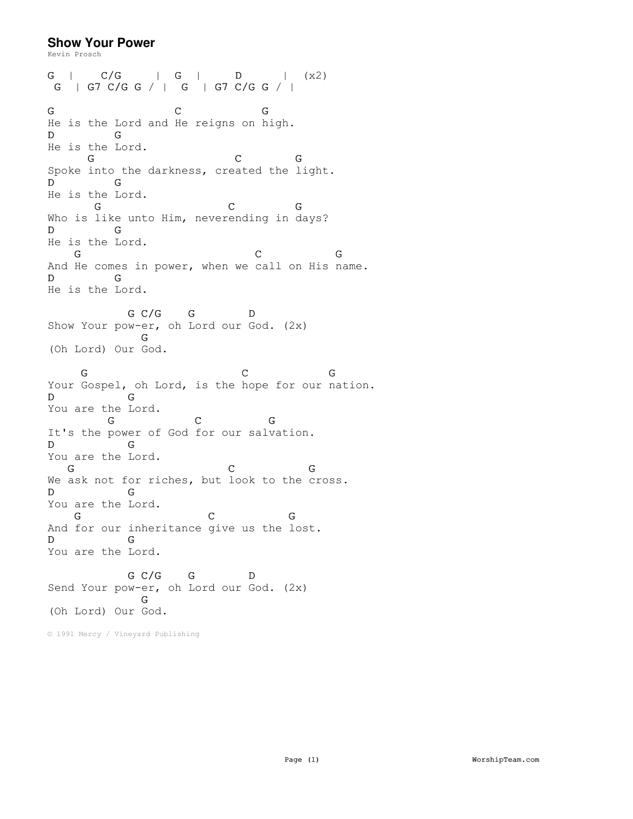## **Show Your Power**

Kevin Prosch G | C/G | G | D | (x2) G | G7 C/G G / | G | G7 C/G G / | G C G He is the Lord and He reigns on high. D G He is the Lord. G C G Spoke into the darkness, created the light. D G He is the Lord. G C G Who is like unto Him, neverending in days? D G He is the Lord. G C G And He comes in power, when we call on His name. D G He is the Lord. G C/G G D Show Your pow-er, oh Lord our God. (2x) G (Oh Lord) Our God. G C G Your Gospel, oh Lord, is the hope for our nation. D G You are the Lord. G C G It's the power of God for our salvation. D G You are the Lord. G C G We ask not for riches, but look to the cross. D G You are the Lord. G C G And for our inheritance give us the lost. D G You are the Lord. G C/G G D Send Your pow-er, oh Lord our God. (2x) G (Oh Lord) Our God.

© 1991 Mercy / Vineyard Publishing